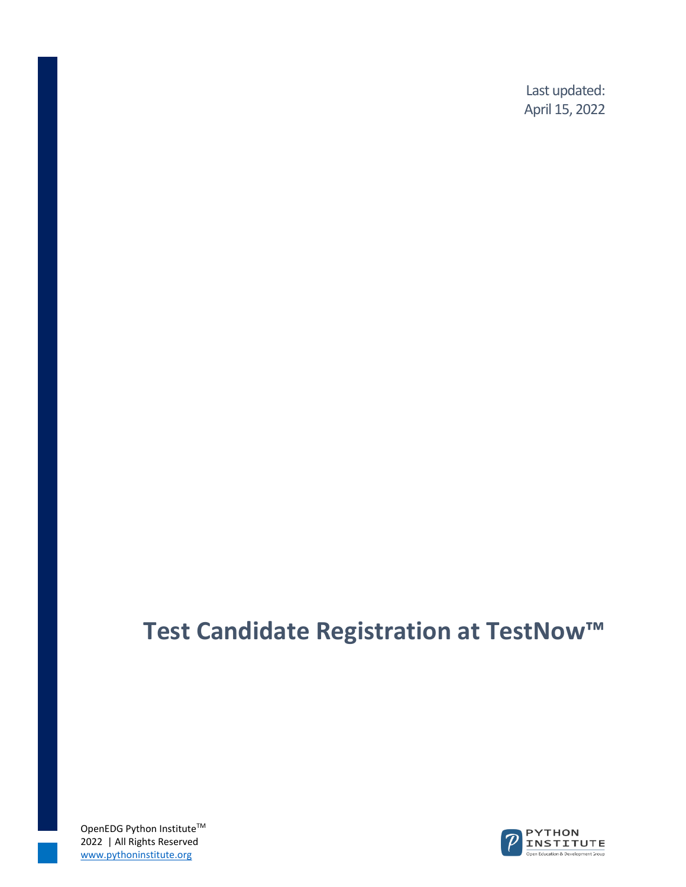Last updated: April 15, 2022

## **Test Candidate Registration at TestNow™**

OpenEDG Python Institute<sup>™</sup> 2022 | All Rights Reserved www.pythoninstitute.org

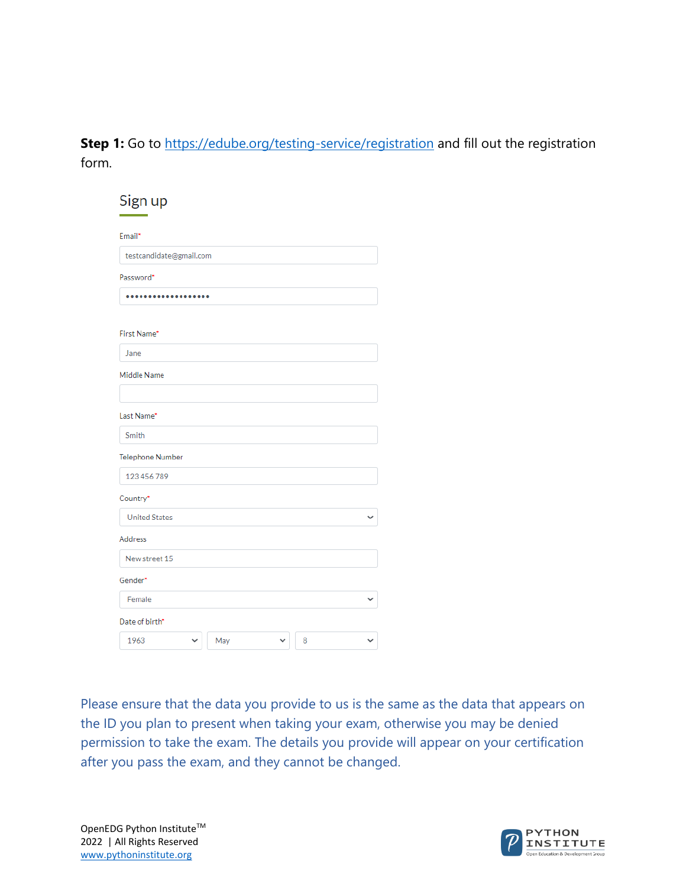**Step 1:** Go to<https://edube.org/testing-service/registration> and fill out the registration form.

| Sign up                 |     |   |  |
|-------------------------|-----|---|--|
| Email*                  |     |   |  |
| testcandidate@gmail.com |     |   |  |
| Password*               |     |   |  |
|                         |     |   |  |
| First Name*             |     |   |  |
| Jane                    |     |   |  |
| Middle Name             |     |   |  |
|                         |     |   |  |
| Last Name*              |     |   |  |
| Smith                   |     |   |  |
| <b>Telephone Number</b> |     |   |  |
| 123 456 789             |     |   |  |
| Country*                |     |   |  |
| <b>United States</b>    |     |   |  |
| <b>Address</b>          |     |   |  |
| New street 15           |     |   |  |
| Gender*                 |     |   |  |
| Female                  |     |   |  |
| Date of birth*          |     |   |  |
| 1963                    | May | 8 |  |

Please ensure that the data you provide to us is the same as the data that appears on the ID you plan to present when taking your exam, otherwise you may be denied permission to take the exam. The details you provide will appear on your certification after you pass the exam, and they cannot be changed.

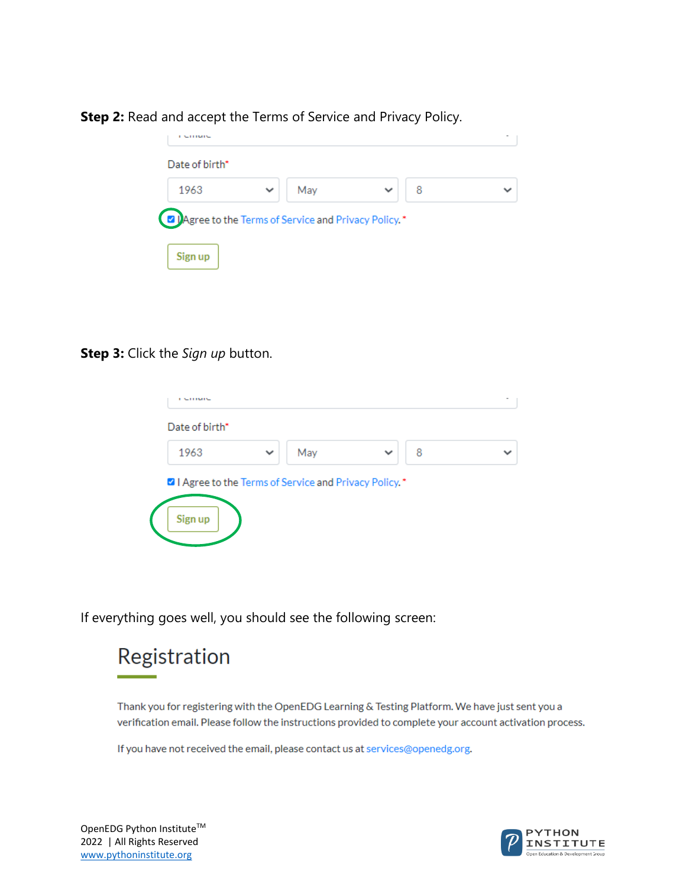| Date of birth* |              |     |   |  |
|----------------|--------------|-----|---|--|
| 1963           | $\checkmark$ | May | 8 |  |

## **Step 2:** Read and accept the Terms of Service and Privacy Policy.

## **Step 3:** Click the *Sign up* button.



If everything goes well, you should see the following screen:



Thank you for registering with the OpenEDG Learning & Testing Platform. We have just sent you a verification email. Please follow the instructions provided to complete your account activation process.

If you have not received the email, please contact us at services@openedg.org.

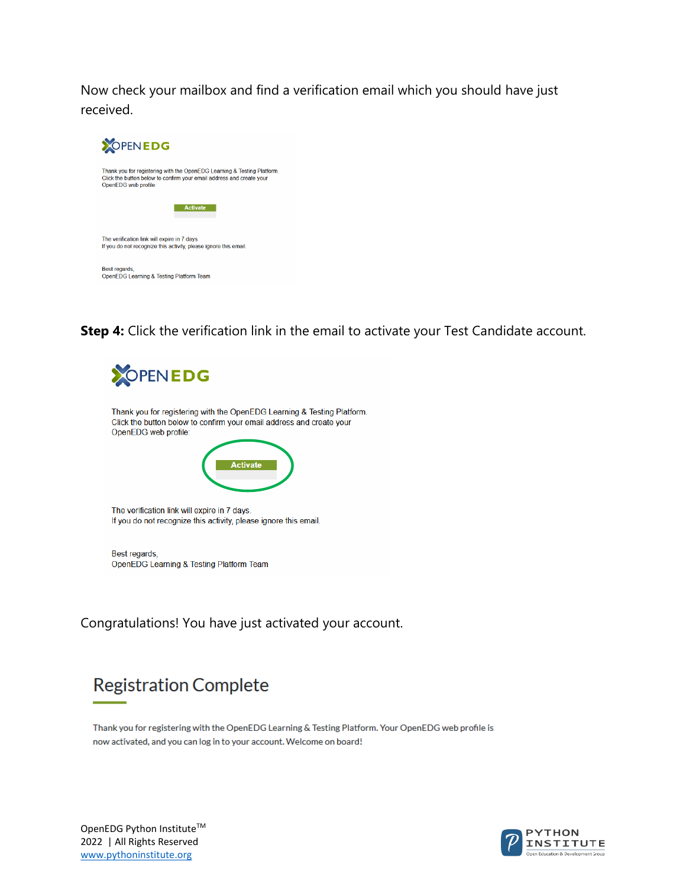Now check your mailbox and find a verification email which you should have just received.



**Step 4:** Click the verification link in the email to activate your Test Candidate account.



Congratulations! You have just activated your account.

## **Registration Complete**

Thank you for registering with the OpenEDG Learning & Testing Platform. Your OpenEDG web profile is now activated, and you can log in to your account. Welcome on board!